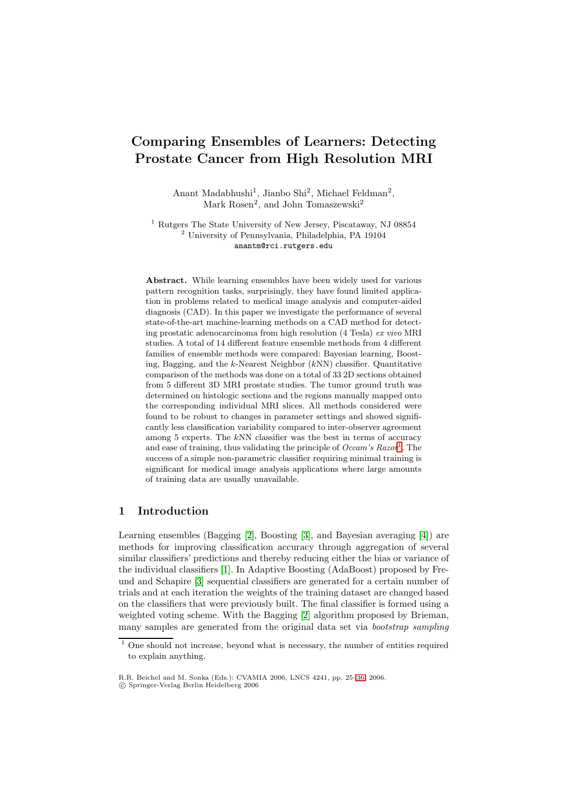# **Comparing Ensembles of Learners: Detecting Prostate Cancer from High Resolution MRI**

Anant Madabhushi<sup>1</sup>, Jianbo Shi<sup>2</sup>, Michael Feldman<sup>2</sup>, Mark Rosen<sup>2</sup>, and John Tomaszewski<sup>2</sup>

<sup>1</sup> Rutgers The State University of New Jersey, Piscataway, NJ 08854 <sup>2</sup> University of Pennsylvania, Philadelphia, PA 19104 anantm@rci.rutgers.edu

**Abstract.** While learning ensembles have been widely used for various pattern recognition tasks, surprisingly, they have found limited application in problems related to medical image analysis and computer-aided diagnosis (CAD). In this paper we investigate the performance of several state-of-the-art machine-learning methods on a CAD method for detecting prostatic adenocarcinoma from high resolution (4 Tesla) ex vivo MRI studies. A total of 14 different feature ensemble methods from 4 different families of ensemble methods were compared: Bayesian learning, Boosting, Bagging, and the  $k$ -Nearest Neighbor  $(kNN)$  classifier. Quantitative comparison of the methods was done on a total of 33 2D sections obtained from 5 different 3D MRI prostate studies. The tumor ground truth was determined on histologic sections and the regions manually mapped onto the corresponding individual MRI slices. All methods considered were found to be robust to changes in parameter settings and showed significantly less classification variability compared to inter-observer agreement among 5 experts. The kNN classifier was the best in terms of accuracy and ease of training, thus validating the principle of  $Occam's Rasor<sup>1</sup>$ . The success of a simple non-parametric classifier requiring minimal training is significant for medical image analysis applications where large amounts of training data are usually unavailable.

# **1 Introduction**

Learning ensembles (Bagging [2], Boosting [3], and Bayesian averaging [4]) are methods for improving classification accuracy through aggregation of several similar classifiers' predictions and thereby reducing either the bias or variance of the individual classifiers [1]. In Adaptive Boosting (AdaBoost) proposed by Freund and Schapire [3] sequentia[l c](#page-11-0)lassifiers ar[e](#page-11-1) generated for a certain nu[mb](#page-11-2)er of trials and at each iteration the weights of the training dataset are changed based on the classifiers that were previously built. The final classifier is formed using a weighted voting scheme. [W](#page-11-3)ith the Bagging [2] algorithm proposed by Brieman, many samples are [g](#page-11-1)enerated from the original data set via *bootstrap sampling* 

<sup>&</sup>lt;sup>1</sup> One should not increase, beyond what is necessary, the number of entities required to explain anything.

R.R. Beichel and M. Sonka (Eds.): CVAMIA 2006, LNCS 4241, pp. 25–36, 2006. -c Springer-Verlag Berlin Heidelberg 2006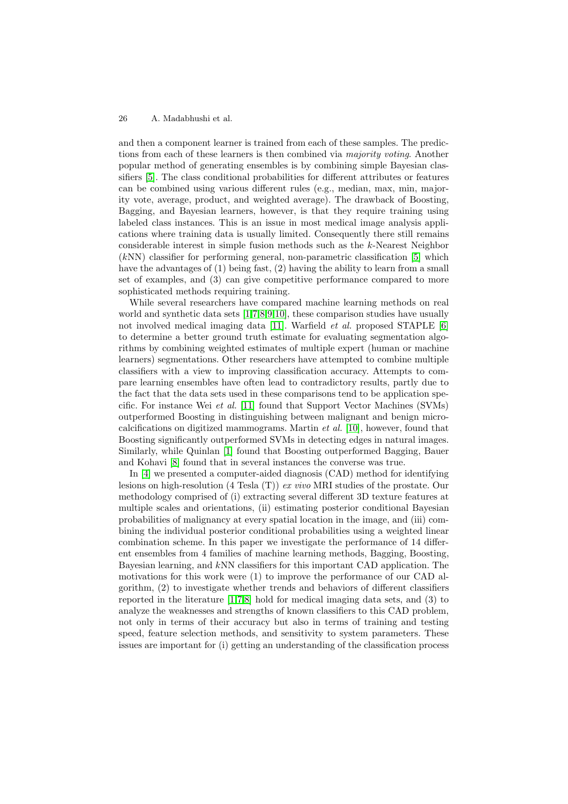and then a component learner is trained from each of these samples. The predictions from each of these learners is then combined via majority voting. Another popular method of generating ensembles is by combining simple Bayesian classifiers [5]. The class conditional probabilities for different attributes or features can be combined using various different rules (e.g., median, max, min, majority vote, average, product, and weighted average). The drawback of Boosting, Bagging, and Bayesian learners, however, is that they require training using labele[d c](#page-11-4)lass instances. This is an issue in most medical image analysis applications where training data is usually limited. Consequently there still remains considerable interest in simple fusion methods such as the k-Nearest Neighbor (kNN) classifier for performing general, non-parametric classification [5] which have the advantages of (1) being fast, (2) having the ability to learn from a small set of examples, and (3) can give competitive performance compared to more sophisticated methods requiring training.

While several researchers have compared machine learning method[s](#page-11-4) on real world and synthetic data sets [1,7,8,9,10], these comparison studies have usually not involved medical imaging data [11]. Warfield *et al.* proposed STAPLE [6] to determine a better ground truth estimate for evaluating segmentation algorithms by combining weighted estimates of multiple expert (human or machine learners) segmentations. Othe[r r](#page-11-3)[e](#page-11-5)[se](#page-11-6)[ar](#page-11-7)[che](#page-11-8)rs have attempted to combine multiple classifiers with a view to improving [cla](#page-11-9)ssification accuracy. Attempts to co[m](#page-11-10)pare learning ensembles have often lead to contradictory results, partly due to the fact that the data sets used in these comparisons tend to be application specific. For instance Wei et al. [11] found that Support Vector Machines (SVMs) outperformed Boosting in distinguishing between malignant and benign microcalcifications on digitized mammograms. Martin  $et \ al.$  [10], however, found that Boosting significantly outperformed SVMs in detecting edges in natural images. Similarly, while Quinlan [1] f[oun](#page-11-9)d that Boosting outperformed Bagging, Bauer and Kohavi [8] found that in several instances the converse was true.

In [4] we presented a computer-aided diagnosis (CA[D\) m](#page-11-8)ethod for identifying lesions on high-resolution (4 Tesla  $(T)$ ) ex vivo MRI studies of the prostate. Our methodology comprised o[f \(](#page-11-3)i) extracting several different 3D texture features at multiple sca[les](#page-11-6) and orientations, (ii) estimating posterior conditional Bayesian prob[abi](#page-11-2)lities of malignancy at every spatial location in the image, and (iii) combining the individual posterior conditional probabilities using a weighted linear combination scheme. In this paper we investigate the performance of 14 different ensembles from 4 families of machine learning methods, Bagging, Boosting, Bayesian learning, and kNN classifiers for this important CAD application. The motivations for this work were (1) to improve the performance of our CAD algorithm, (2) to investigate whether trends and behaviors of different classifiers reported in the literature [1,7,8] hold for medical imaging data sets, and (3) to analyze the weaknesses and strengths of known classifiers to this CAD problem, not only in terms of their accuracy but also in terms of training and testing speed, feature selection methods, and sensitivity to system parameters. These issues are important for (i) [g](#page-11-3)[et](#page-11-5)[ti](#page-11-6)ng an understanding of the classification process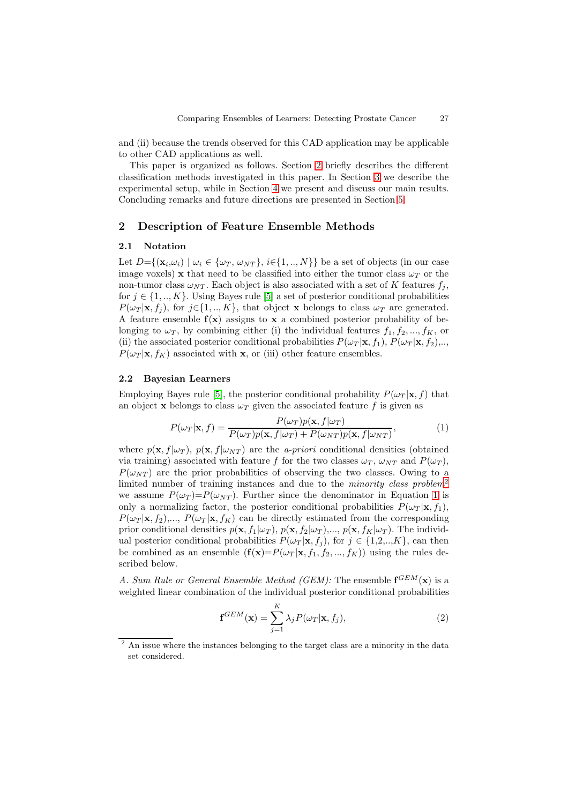and (ii) because the trends observed for this CAD application may be applicable to other CAD applications as well.

This paper is organized as follows. Section 2 briefly describes the different classification methods investigated in this paper. In Section 3 we describe the experimental setup, while in Section 4 we present and discuss our main results. Concluding remarks and future directions are presented in Section 5.

# **2 Description of Feature [En](#page-7-0)semble Method[s](#page-5-0)**

#### **2.1 Notation**

<span id="page-2-2"></span>Let  $D=\{(\mathbf{x}_i,\omega_i) \mid \omega_i \in \{\omega_T, \omega_{NT}\}, i \in \{1, ..., N\}\}\$ be a set of objects (in our case image voxels) **x** that need to be classified into either the tumor class  $\omega_T$  or the non-tumor class  $\omega_{NT}$ . Each object is also associated with a set of K features  $f_i$ , for  $j \in \{1, ..., K\}$ . Using Bayes rule [5] a set of posterior conditional probabilities  $P(\omega_T | \mathbf{x}, f_i)$ , for  $j \in \{1, ..., K\}$ , that object **x** belongs to class  $\omega_T$  are generated. A feature ensemble  $f(x)$  assigns to x a combined posterior probability of belonging to  $\omega_T$ , by combining either (i) the individual features  $f_1, f_2, ..., f_K$ , or (ii) the associated posterior c[on](#page-11-4)ditional probabilities  $P(\omega_T | \mathbf{x}, f_1), P(\omega_T | \mathbf{x}, f_2), \ldots$  $P(\omega_T | \mathbf{x}, f_K)$  associated with **x**, or (iii) other feature ensembles.

## **2.2 Bayesian Learners**

Employing Bayes rule [5], the posterior conditional probability  $P(\omega_T | \mathbf{x}, f)$  that an object **x** belongs to class  $\omega_T$  given the associated feature f is given as

$$
P(\omega_T|\mathbf{x}, f) = \frac{P(\omega_T)p(\mathbf{x}, f|\omega_T)}{P(\omega_T)p(\mathbf{x}, f|\omega_T) + P(\omega_{NT})p(\mathbf{x}, f|\omega_{NT})},
$$
(1)

<span id="page-2-1"></span>where  $p(\mathbf{x}, f | \omega_T)$  $p(\mathbf{x}, f | \omega_T)$  $p(\mathbf{x}, f | \omega_T)$ ,  $p(\mathbf{x}, f | \omega_{NT})$  are the *a-priori* conditional densities (obtained via training) associated with feature f for the two classes  $\omega_T$ ,  $\omega_{NT}$  and  $P(\omega_T)$ ,  $P(\omega_{NT})$  are the prior probabilities of observing the two classes. Owing to a limited number of training instances and due to the *minority class problem*<sup>2</sup> we assume  $P(\omega_T)=P(\omega_{NT})$ . Further since the denominator in Equation 1 is only a normalizing factor, the posterior conditional probabilities  $P(\omega_T | \mathbf{x}, f_1)$ ,  $P(\omega_T | \mathbf{x}, f_2), \dots, P(\omega_T | \mathbf{x}, f_K)$  can be directly estimated from the corresponding prior conditional densities  $p(\mathbf{x}, f_1 | \omega_T)$ ,  $p(\mathbf{x}, f_2 | \omega_T)$ ,...,  $p(\mathbf{x}, f_K | \omega_T)$ . The indivi[d](#page-2-0)ual posterior conditional probabilities  $P(\omega_T | \mathbf{x}, f_j)$  $P(\omega_T | \mathbf{x}, f_j)$  $P(\omega_T | \mathbf{x}, f_j)$ , for  $j \in \{1, 2, ..., K\}$ , can then be combined as an ensemble  $(f(\mathbf{x})=P(\omega_T | \mathbf{x}, f_1, f_2, ..., f_K))$  using the rules described below.

A. Sum Rule or General Ensemble Method (GEM): The ensemble  $\mathbf{f}^{GEM}(\mathbf{x})$  is a weighted linear combination of the individual posterior conditional probabilities

$$
\mathbf{f}^{GEM}(\mathbf{x}) = \sum_{j=1}^{K} \lambda_j P(\omega_T | \mathbf{x}, f_j), \qquad (2)
$$

<span id="page-2-0"></span><sup>&</sup>lt;sup>2</sup> An issue where the instances belonging to the target class are a minority in the data set considered.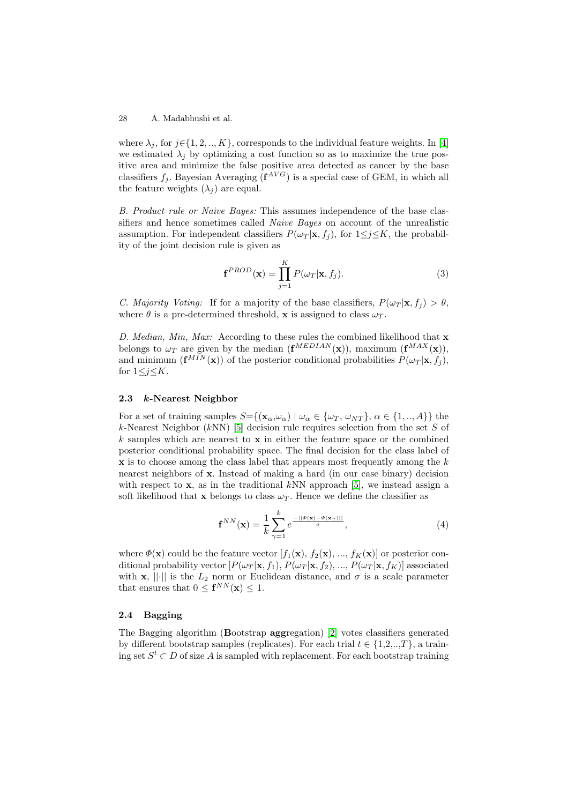where  $\lambda_j$ , for  $j \in \{1, 2, ..., K\}$ , corresponds to the individual feature weights. In [4] we estimated  $\lambda_j$  by optimizing a cost function so as to maximize the true positive area and minimize the false positive area detected as cancer by the base classifiers  $f_i$ . Bayesian Averaging  $(f^{AVG})$  is a special case of GEM, in which all the feature weights  $(\lambda_i)$  are equal.

B. Product rule or Naive Bayes: This assumes independence of the base classifiers and hence sometimes called Naive Bayes on account of the unrealistic assumption. For independent classifiers  $P(\omega_T | \mathbf{x}, f_i)$ , for  $1 \leq j \leq K$ , the probability of the joint decision rule is given as

$$
\mathbf{f}^{PROD}(\mathbf{x}) = \prod_{j=1}^{K} P(\omega_T | \mathbf{x}, f_j).
$$
 (3)

C. Majority Voting: If for a majority of the base classifiers,  $P(\omega_T | \mathbf{x}, f_i) > \theta$ , where  $\theta$  is a pre-determined threshold, **x** is assigned to class  $\omega_T$ .

D. Median, Min, Max: According to these rules the combined likelihood that **x** belongs to  $\omega_T$  are given by the median  $(\mathbf{f}^{MEDIAN}(\mathbf{x}))$ , maximum  $(\mathbf{f}^{MAX}(\mathbf{x}))$ , and minimum  $(\mathbf{f}^{MIN}(\mathbf{x}))$  of the posterior conditional probabilities  $P(\omega_T | \mathbf{x}, f_j)$ , for  $1\leq j \leq K$ .

## **2.3** *k***-Nearest Neighbor**

For a set of training samples  $S = \{(\mathbf{x}_{\alpha}, \omega_{\alpha}) \mid \omega_{\alpha} \in {\{\omega_T, \omega_{NT}\}}\}, \alpha \in \{1, ..., A\}\}\$ the k-Nearest Neighbor (kNN) [5] decision rule requires selection from the set S of k samples which are nearest to **x** in either the feature space or the combined posterior conditional probability space. The final decision for the class label of **x** is to choose among the class label that appears most frequently among the k nearest neighbors of **x**. Inst[ea](#page-11-4)d of making a hard (in our case binary) decision with respect to **x**, as in the traditional kNN approach [5], we instead assign a soft likelihood that **x** belongs to class  $\omega_T$ . Hence we define the classifier as

$$
\mathbf{f}^{NN}(\mathbf{x}) = \frac{1}{k} \sum_{\gamma=1}^{k} e^{\frac{-||\Phi(\mathbf{x}) - \Phi(\mathbf{x}_{\gamma})||}{\sigma}}, \tag{4}
$$

where  $\Phi(\mathbf{x})$  could be the feature vector  $[f_1(\mathbf{x}), f_2(\mathbf{x}), ..., f_K(\mathbf{x})]$  or posterior conditional probability vector  $[P(\omega_T | \mathbf{x}, f_1), P(\omega_T | \mathbf{x}, f_2), ..., P(\omega_T | \mathbf{x}, f_K)]$  associated with **x**, || $\cdot$ || is the  $L_2$  norm or Euclidean distance, and  $\sigma$  is a scale parameter that ensures that  $0 \leq f^{NN}(\mathbf{x}) \leq 1$ .

# **2.4 Bagging**

The Bagging algorithm (**B**ootstrap **agg**regation) [2] votes classifiers generated by different bootstrap samples (replicates). For each trial  $t \in \{1,2,..,T\}$ , a training set  $S^t \subset D$  of size A is sampled with replacement. For each bootstrap training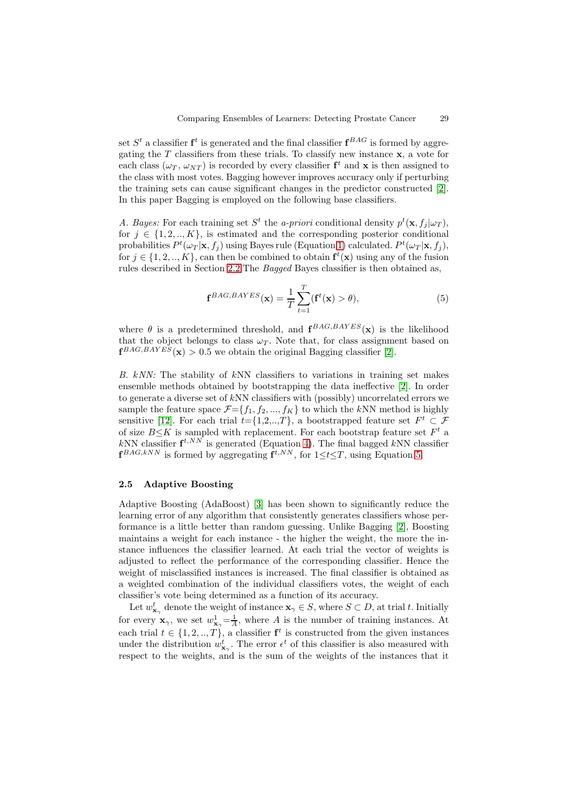set  $S<sup>t</sup>$  a classifier  $f<sup>t</sup>$  is generated and the final classifier  $f<sup>BAG</sup>$  is formed by aggregating the  $T$  classifiers from these trials. To classify new instance  $\mathbf{x}$ , a vote for each class  $(\omega_T, \omega_{NT})$  is recorded by every classifier  $f^t$  and **x** is then assigned to the class with most votes. Bagging however improves accuracy only if perturbing the training sets can cause significant changes in the predictor constructed [2]. In this paper Bagging is employed on the following base classifiers.

A. Bayes: For each training set  $S^t$  the a-priori conditional density  $p^t(\mathbf{x}, f_j | \omega_T)$ , for  $j \in \{1, 2, ..., K\}$ , is estimated and the corresponding posterior conditio[na](#page-11-0)l probabilities  $P^t(\omega_T|\mathbf{x}, f_j)$  using Bayes rule (Equation 1) calculated.  $P^t(\omega_T|\mathbf{x}, f_j)$ , for  $j \in \{1, 2, ..., K\}$ , can then be combined to obtain  $f^t(x)$  using any of the fusion rules described in Section 2.2. The *Bagged* Bayes classifier is then obtained as,

$$
\mathbf{f}^{BAG,BAYES}(\mathbf{x}) = \frac{1}{T} \sum_{t=1}^{T} (\mathbf{f}^t(\mathbf{x}) > \theta), \tag{5}
$$

<span id="page-4-0"></span>where  $\theta$  is a predetermined threshold, and  $\mathbf{f}^{BAG,BAYES}(\mathbf{x})$  is the likelihood that the object belongs to class  $\omega_T$ . Note that, for class assignment based on  $f^{BAG,BAYE\tilde{S}}(x) > 0.5$  we obtain the original Bagging classifier [2].

B. kNN: The stability of kNN classifiers to variations in training set makes ensemble methods obtained by bootstrapping the data ineffective [2]. In order to generate a diverse set of kNN classifiers with (possibly) uncorr[ela](#page-11-0)ted errors we sample the feature space  $\mathcal{F} = \{f_1, f_2, ..., f_K\}$  to which the kNN method is highly sensitive [12]. For each trial  $t=[1,2,...,T]$ , a bootstrapped feature set  $F^t \subset \mathcal{F}$ of size  $B\leq K$  is sampled with replacement. For each bootstrap feat[ur](#page-11-0)e set  $F<sup>t</sup>$  a kNN classifier  $f^{t,NN}$  is generated (Equation 4). The final bagged kNN classifier  $f^{BAG,kNN}$  is formed by aggregating  $f^{t,NN}$ , for  $1 \le t \le T$ , using Equation 5.

## **2.5 Adaptive Boosting**

Adaptive Boosting (AdaBoost) [3] has been shown to significantly re[du](#page-4-0)ce the learning error of any algorithm that consistently generates classifiers whose performance is a little better than random guessing. Unlike Bagging [2], Boosting maintains a weight for each instance - the higher the weight, the more the instance influences the classifier l[ea](#page-11-1)rned. At each trial the vector of weights is adjusted to reflect the performance of the corresponding classifier. Hence the weight of misclassified instances is increased. The final classifier is [o](#page-11-0)btained as a weighted combination of the individual classifiers votes, the weight of each classifier's vote being determined as a function of its accuracy.

Let  $w_{\mathbf{x}_{\gamma}}^t$  denote the weight of instance  $\mathbf{x}_{\gamma} \in S$ , where  $S \subset D$ , at trial t. Initially for every  $\mathbf{x}_{\gamma}$ , we set  $w_{\mathbf{x}_{\gamma}}^1 = \frac{1}{A}$ , where A is the number of training instances. At each trial  $t \in \{1, 2, ..., T\}$ , a classifier  $f^t$  is constructed from the given instances under the distribution  $w_{\mathbf{x}_{\gamma}}^t$ . The error  $\epsilon^t$  of this classifier is also measured with respect to the weights, and is the sum of the weights of the instances that it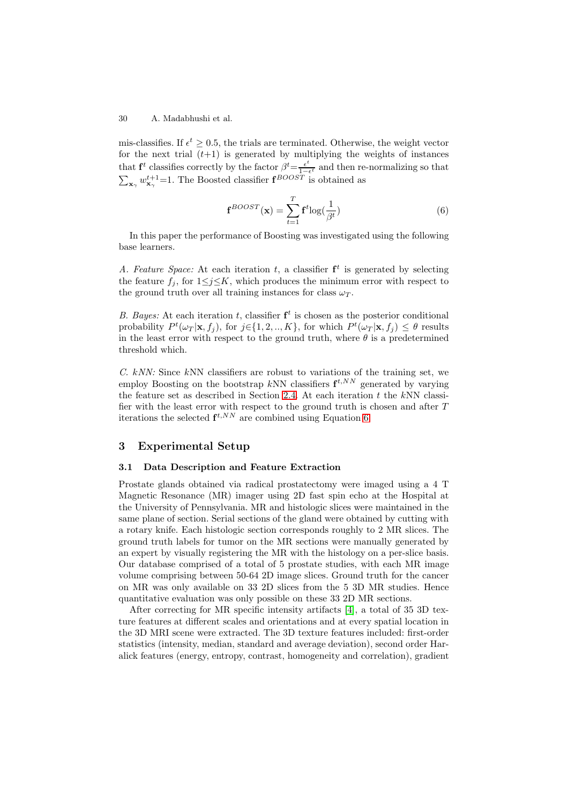mis-classifies. If  $\epsilon^t \geq 0.5$ , the trials are terminated. Otherwise, the weight vector for the next trial  $(t+1)$  is generated by multiplying the weights of instances that **f**<sup>*t*</sup> classifies correctly by the factor  $\beta^t = \frac{\epsilon^t}{1-\epsilon^t}$  and then re-normalizing so that  $\sum_{\mathbf{x}_{\gamma}} w_{\mathbf{x}_{\gamma}}^{t+1} = 1$ . The Boosted classifier  $\mathbf{f}^{BOOST}$  is obtained as

$$
\mathbf{f}^{BOOST}(\mathbf{x}) = \sum_{t=1}^{T} \mathbf{f}^t \log(\frac{1}{\beta^t})
$$
\n(6)

In this paper the performance of Boosting was investigated using the following base learners.

A. Feature Space: At each iteration t, a classifier  $f^t$  is generated by selecting the feature  $f_i$ , for  $1 \leq j \leq K$ , which produces the minimum error with respect to the ground truth over all training instances for class  $\omega_T$ .

B. Bayes: At each iteration t, classifier  $f^t$  is chosen as the posterior conditional probability  $P^t(\omega_T|\mathbf{x}, f_j)$ , for  $j \in \{1, 2, ..., K\}$ , for which  $P^t(\omega_T|\mathbf{x}, f_j) \leq \theta$  results in the least error with respect to the ground truth, where  $\theta$  is a predetermined threshold which.

 $C.$  kNN: Since kNN classifiers are robust to variations of the training set, we employ Boosting on the bootstrap kNN classifiers  $f^{t,N}$  generated by varying the feature set as described in Section 2.4. At each iteration  $t$  the kNN classifier with the least error with respect to the ground truth is chosen and after  $T$ iterations the selected  $f^{t,N}$  are combined using Equation 6.

# **3 Experimental Setup**

#### **3.1 Data Description and Feature Extraction**

<span id="page-5-0"></span>Prostate glands obtained via radical prostatectomy were imaged using a 4 T Magnetic Resonance (MR) imager using 2D fast spin echo at the Hospital at the University of Pennsylvania. MR and histologic slices were maintained in the same plane of section. Serial sections of the gland were obtained by cutting with a rotary knife. Each histologic section corresponds roughly to 2 MR slices. The ground truth labels for tumor on the MR sections were manually generated by an expert by visually registering the MR with the histology on a per-slice basis. Our database comprised of a total of 5 prostate studies, with each MR image volume comprising between 50-64 2D image slices. Ground truth for the cancer on MR was only available on 33 2D slices from the 5 3D MR studies. Hence quantitative evaluation was only possible on these 33 2D MR sections.

After correcting for MR specific intensity artifacts [4], a total of 35 3D texture features at different scales and orientations and at every spatial location in the 3D MRI scene were extracted. The 3D texture features included: first-order statistics (intensity, median, standard and average deviation), second order Haralick features (energy, entropy, contrast, homogeneity [and](#page-11-2) correlation), gradient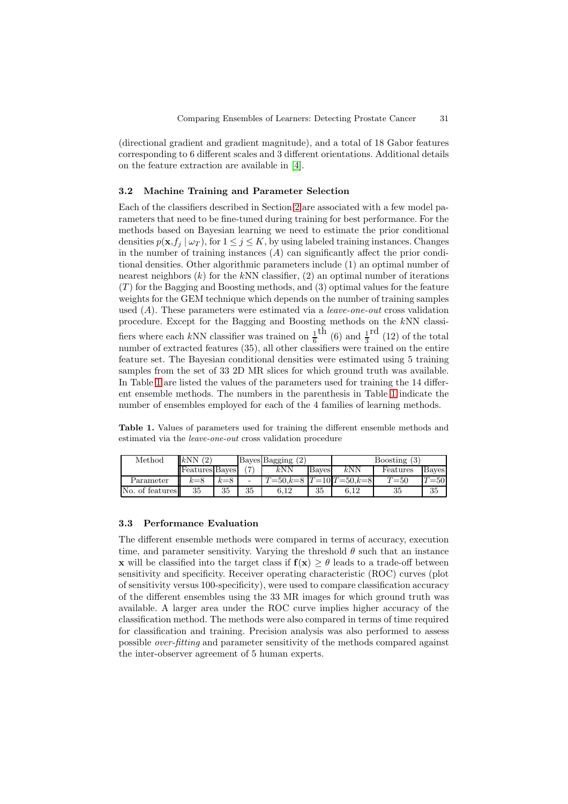(directional gradient and gradient magnitude), and a total of 18 Gabor features corresponding to 6 different scales and 3 different orientations. Additional details on the feature extraction are available in [4].

## **3.2 Machine Training and Parameter Selection**

Each of the classifiers described in Section [2](#page-11-2) are associated with a few model parameters that need to be fine-tuned during training for best performance. For the methods based on Bayesian learning we need to estimate the prior conditional densities  $p(\mathbf{x}, f_i | \omega_T)$ , for  $1 \leq j \leq K$ , by using labeled training instances. Changes in the number of training inst[an](#page-2-2)ces  $(A)$  can significantly affect the prior conditional densities. Other algorithmic parameters include (1) an optimal number of nearest neighbors  $(k)$  for the kNN classifier,  $(2)$  an optimal number of iterations  $(T)$  for the Bagging and Boosting methods, and  $(3)$  optimal values for the feature weights for the GEM technique which depends on the number of training samples used  $(A)$ . These parameters were estimated via a *leave-one-out* cross validation procedure. Except for the Bagging and Boosting methods on the kNN classifiers where each kNN classifier was trained on  $\frac{1}{6}$ <sup>th</sup> (6) and  $\frac{1}{3}$ <sup>rd</sup> (12) of the total number of extracted features (35), all other classifiers were trained on the entire feature set. The Bayesian conditional densities were estimated using 5 training samples from the set of 33 2D MR slices for which ground truth was available. In Table 1 are listed the values of the parameters used for training the 14 different ensemble methods. The numbers in the parenthesis in Table 1 indicate the number of ensembles employed for each of the 4 families of learning methods.

**Table 1.** [V](#page-6-0)alues of parameters used for training the different ensemble methods and estimated via the leave-one-out cross validation procedure

<span id="page-6-0"></span>

| Method          | kNN                   |       |       | Bayes Bagging |       | Boosting $(3)$   |          |              |
|-----------------|-----------------------|-------|-------|---------------|-------|------------------|----------|--------------|
|                 | <b>Features</b> Bayes |       | 'r-r' | $k{\rm NN}$   | Baves | $k{\rm NN}$      | Features | <b>Bayes</b> |
| Parameter       | $k=8$                 | $k=8$ | ۰     | $=50.$ k $=$  |       | $-10T = 50k = 8$ | $T{=}50$ | $= 50$       |
| No. of features | 35                    | 35    | 35    | 12            | 35    |                  | 35       | 35           |

#### **3.3 Performance Evaluation**

The different ensemble methods were compared in terms of accuracy, execution time, and parameter sensitivity. Varying the threshold  $\theta$  such that an instance **x** will be classified into the target class if  $f(x) \geq \theta$  leads to a trade-off between sensitivity and specificity. Receiver operating characteristic (ROC) curves (plot of sensitivity versus 100-specificity), were used to compare classification accuracy of the different ensembles using the 33 MR images for which ground truth was available. A larger area under the ROC curve implies higher accuracy of the classification method. The methods were also compared in terms of time required for classification and training. Precision analysis was also performed to assess possible over-fitting and parameter sensitivity of the methods compared against the inter-observer agreement of 5 human experts.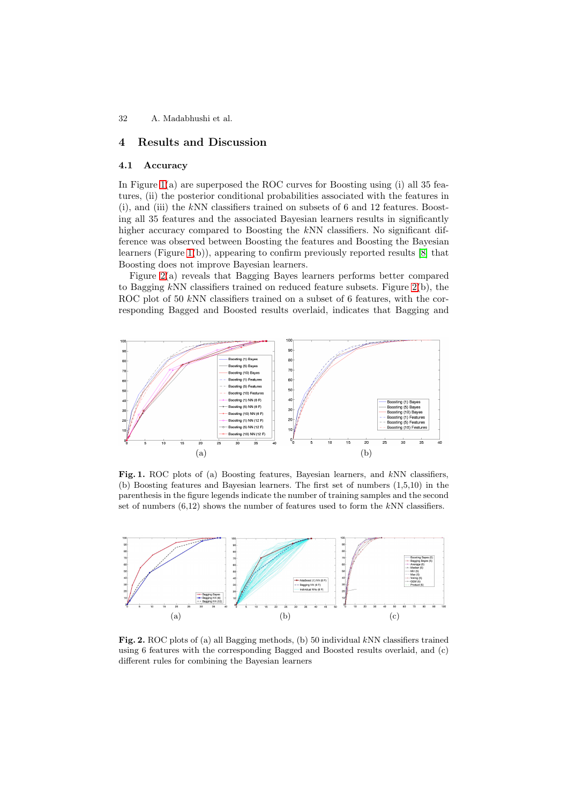# **4 Results and Discussion**

#### **4.1 Accuracy**

<span id="page-7-0"></span>In Figure  $1(a)$  are superposed the ROC curves for Boosting using  $(i)$  all 35 features, (ii) the posterior conditional probabilities associated with the features in (i), and (iii) the kNN classifiers trained on subsets of 6 and 12 features. Boosting all 35 features and the associated Bayesian learners results in significantly higher ac[cu](#page-7-1)racy compared to Boosting the kNN classifiers. No significant difference was observed between Boosting the features and Boosting the Bayesian learners (Figure 1(b)), appearing to confirm previously reported results [8] that Boosting does not improve Bayesian learners.

Figure 2(a) reveals that Bagging Bayes learners performs better compared to Bagging kNN classifiers trained on reduced feature subsets. Figure 2(b), the ROC plot of 50 [k](#page-7-1)NN classifiers trained on a subset of 6 features, with t[he](#page-11-6) corresponding Bagged and Boosted results overlaid, indicates that Bagging and



Fig. 1. ROC plots of (a) Boosting features, Bayesian learners, and kNN classifiers, (b) Boosting features and Bayesian learners. The first set of numbers (1,5,10) in the parenthesis in the figure legends indicate the number of training samples and the second set of numbers  $(6,12)$  shows the number of features used to form the kNN classifiers.

<span id="page-7-1"></span>

<span id="page-7-2"></span>Fig. 2. ROC plots of (a) all Bagging methods, (b) 50 individual kNN classifiers trained using 6 features with the corresponding Bagged and Boosted results overlaid, and (c) different rules for combining the Bayesian learners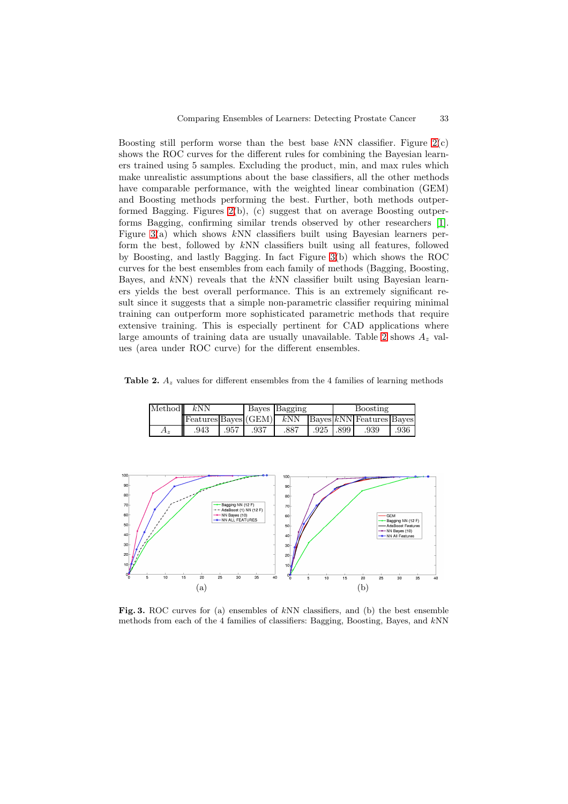Boosting still perform worse than the best base  $kNN$  classifier. Figure  $2(c)$ shows the ROC curves for the different rules for combining the Bayesian learners trained using 5 samples. Excluding the product, min, and max rules which make unrealistic assumptions about the base classifiers, all the other methods have comparable performance, with the weighted linear combination (G[EM](#page-7-2)) and Boosting methods performing the best. Further, both methods outperformed Bagging. Figures  $2(b)$ , (c) suggest that on average Boosting outperforms Bagging, confirming similar trends observed by other researchers [1]. Figure 3(a) which shows  $kNN$  classifiers built using Bayesian learners perform the best, followed by kNN classifiers built using all features, followed by Boosting, and lastly [Ba](#page-7-2)gging. In fact Figure 3(b) which shows the ROC curves for the best ensembles from each family of methods (Bagging, Boosti[ng](#page-11-3), Bayes, [an](#page-8-0)d  $kNN$ ) reveals that the  $kNN$  classifier built using Bayesian learners yields the best overall performance. This is an extremely significant result since it suggests that a simple non-parametri[c c](#page-8-0)lassifier requiring minimal training can outperform more sophisticated parametric methods that require extensive training. This is especially pertinent for CAD applications where large amounts of training data are usually unavailable. Table 2 shows  $A<sub>z</sub>$  values (area under ROC curve) for the different ensembles.

**Table 2.**  $A_z$  values for different ensembles from the 4 families of l[ear](#page-8-1)ning methods

| Method | kNN                                                                                                     |      |      | Bayes Bagging |           | Boosting |      |      |
|--------|---------------------------------------------------------------------------------------------------------|------|------|---------------|-----------|----------|------|------|
|        | $\ \text{Features} \text{Bayes} (\text{GEM})\ $ kNN $\ \text{Bayes} kNN \text{Features} \text{Bayes}\ $ |      |      |               |           |          |      |      |
| $A_z$  | .943                                                                                                    | .957 | .937 | .887          | .925 .899 |          | .939 | .936 |

<span id="page-8-1"></span>

<span id="page-8-0"></span>Fig. 3. ROC curves for (a) ensembles of kNN classifiers, and (b) the best ensemble methods from each of the 4 families of classifiers: Bagging, Boosting, Bayes, and kNN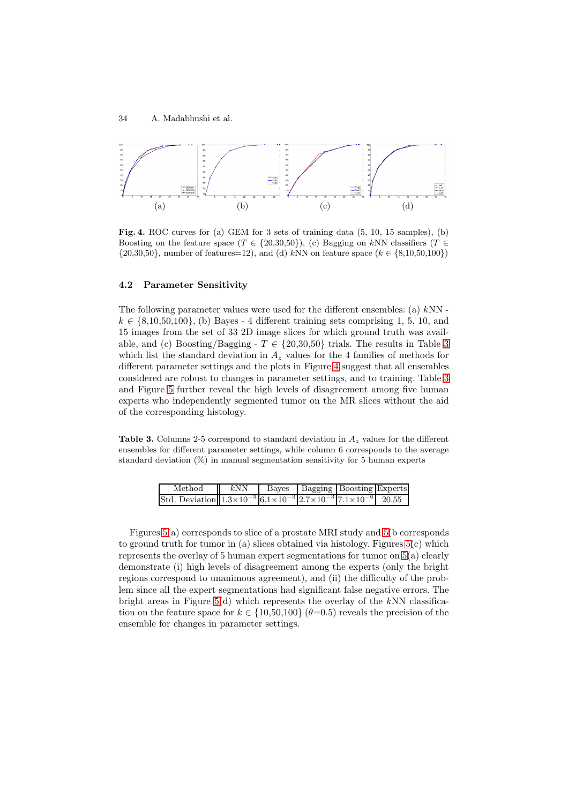

**Fig. 4.** ROC curves for (a) GEM for 3 sets of training data (5, 10, 15 samples), (b) Boosting on the feature space  $(T \in \{20,30,50\})$ , (c) Bagging on kNN classifiers  $(T \in$  $\{20,30,50\}$ , number of features=12), and (d) kNN on feature space ( $k \in \{8,10,50,100\}$ )

## **4.2 Parameter Sensitivity**

The following parameter values were used for the different ensembles: (a)  $kNN$   $k \in \{8, 10, 50, 100\},$  (b) Bayes - 4 different training sets comprising 1, 5, 10, and 15 images from the set of 33 2D image slices for which ground truth was available, and (c) Boosting/Bagging -  $T \in \{20, 30, 50\}$  trials. The results in Table 3 which list the standard deviation in  $A_z$  values for the 4 families of methods for different parameter settings and the plots in Figure 4 suggest that all ensembles considered are robust to changes in parameter settings, and to training. Table 3 and Figure 5 further reveal the high levels of disagreement among five hum[an](#page-9-0) experts who independently segmented tumor on the MR slices without the aid of the corresponding histology.

**Table 3.** C[olu](#page-10-0)mns 2-5 correspond to standard deviation in  $A<sub>z</sub>$  values for the different ensembles for different parameter settings, while column 6 corresponds to the average standard deviation (%) in manual segmentation sensitivity for 5 human experts

| Method                                                                                                   | kNN |  | Bayes   Bagging   Boosting Experts |  |
|----------------------------------------------------------------------------------------------------------|-----|--|------------------------------------|--|
| Std. Deviation $1.3 \times 10^{-3}$ 6.1 $\times 10^{-3}$ $2.7 \times 10^{-3}$ $7.1 \times 10^{-6}$ 20.55 |     |  |                                    |  |

<span id="page-9-0"></span>Figures 5(a) corresponds to slice of a prostate MRI study and 5(b corresponds to ground truth for tumor in (a) slices obtained via histology. Figures 5(c) which represents the overlay of 5 human expert segmentations for tumor on 5(a) clearly demonstrate (i) high levels of disagreement among the experts (only the bright regions co[rre](#page-10-0)spond to unanimous agreement), and (ii) the diffic[ult](#page-10-0)y of the problem since all the expert segmentations had significant false negative [err](#page-10-0)ors. The bright areas in Figure  $5(d)$  which represents the overlay of the k[N](#page-10-0)N classification on the feature space for  $k \in \{10,50,100\}$  ( $\theta=0.5$ ) reveals the precision of the ensemble for changes in parameter settings.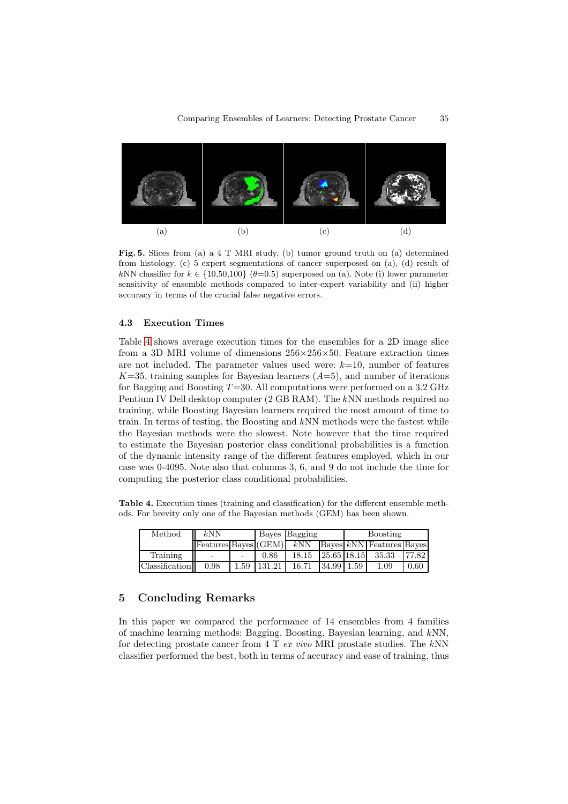

**Fig. 5.** Slices from (a) a 4 T MRI study, (b) tumor ground truth on (a) determined from histology, (c) 5 expert segmentations of cancer superposed on (a), (d) result of kNN classifier for  $k \in \{10,50,100\}$  ( $\theta=0.5$ ) superposed on (a). Note (i) lower parameter sensitivity of ensemble methods compared to inter-expert variability and (ii) higher accuracy in terms of the crucial false negative errors.

## <span id="page-10-0"></span>**4.3 Execution Times**

Table 4 shows average execution times for the ensembles for a 2D image slice from a 3D MRI volume of dimensions  $256\times256\times50$ . Feature extraction times are not included. The parameter values used were:  $k=10$ , number of features  $K=35$ , training samples for Bayesian learners  $(A=5)$ , and number of iterations for B[agg](#page-10-1)ing and Boosting  $T=30$ . All computations were performed on a 3.2 GHz Pentium IV Dell desktop computer (2 GB RAM). The kNN methods required no training, while Boosting Bayesian learners required the most amount of time to train. In terms of testing, the Boosting and kNN methods were the fastest while the Bayesian methods were the slowest. Note however that the time required to estimate the Bayesian posterior class conditional probabilities is a function of the dynamic intensity range of the different features employed, which in our case was 0-4095. Note also that columns 3, 6, and 9 do not include the time for computing the posterior class conditional probabilities.

**Table 4.** Execution times (training and classification) for the different ensemble methods. For brevity only one of the Bayesian methods (GEM) has been shown.

| Method         | kNN  |                   | Bayes Bagging |                | Boosting |                                                         |       |
|----------------|------|-------------------|---------------|----------------|----------|---------------------------------------------------------|-------|
|                |      |                   |               |                |          | Features $Baves$ (GEM) $kNN$ Bayes $kNN$ Features Bayes |       |
| Training       |      | 0.86              |               |                |          | 18.15 25.65 18.15 35.33                                 | 77.82 |
| Classification | 0.98 | $1.59$   $131.21$ | 16.71         | $34.99$   1.59 |          | $1.09\,$                                                | 0.60  |

# <span id="page-10-1"></span>**5 Concluding Remarks**

In this paper we compared the performance of 14 ensembles from 4 families of machine learning methods: Bagging, Boosting, Bayesian learning, and kNN, for detecting prostate cancer from 4 T ex vivo MRI prostate studies. The  $kNN$ classifier performed the best, both in terms of accuracy and ease of training, thus